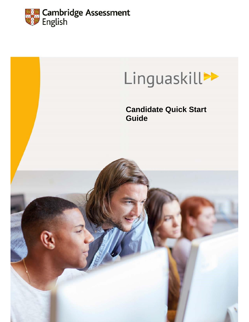

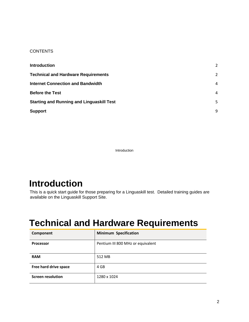#### **CONTENTS**

| <b>Introduction</b>                              | $\overline{\phantom{a}}$ |
|--------------------------------------------------|--------------------------|
| <b>Technical and Hardware Requirements</b>       | $\overline{\phantom{a}}$ |
| <b>Internet Connection and Bandwidth</b>         | 4                        |
| <b>Before the Test</b>                           | $\overline{4}$           |
| <b>Starting and Running and Linguaskill Test</b> | 5                        |
| <b>Support</b>                                   | 9                        |

Introduction

#### <span id="page-1-0"></span>**Introduction**

This is a quick start guide for those preparing for a Linguaskill test. Detailed training guides are available on the Linguaskill Support Site.

#### <span id="page-1-1"></span>**Technical and Hardware Requirements**

| Component                | <b>Minimum Specification</b>      |
|--------------------------|-----------------------------------|
| <b>Processor</b>         | Pentium III 800 MHz or equivalent |
| <b>RAM</b>               | 512 MB                            |
| Free hard drive space    | 4 GB                              |
| <b>Screen resolution</b> | 1280 x 1024                       |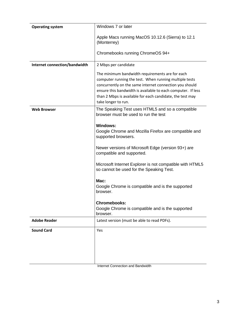| <b>Operating system</b>       | Windows 7 or later                                                                                                                                                                                                                                                                                                                                                                                                                                          |
|-------------------------------|-------------------------------------------------------------------------------------------------------------------------------------------------------------------------------------------------------------------------------------------------------------------------------------------------------------------------------------------------------------------------------------------------------------------------------------------------------------|
|                               | Apple Macs running MacOS 10.12.6 (Sierra) to 12.1<br>(Monterrey)                                                                                                                                                                                                                                                                                                                                                                                            |
|                               | Chromebooks running ChromeOS 94+                                                                                                                                                                                                                                                                                                                                                                                                                            |
| Internet connection/bandwidth | 2 Mbps per candidate                                                                                                                                                                                                                                                                                                                                                                                                                                        |
|                               | The minimum bandwidth requirements are for each<br>computer running the test. When running multiple tests<br>concurrently on the same internet connection you should<br>ensure this bandwidth is available to each computer. If less<br>than 2 Mbps is available for each candidate, the test may<br>take longer to run.                                                                                                                                    |
| <b>Web Browser</b>            | The Speaking Test uses HTML5 and so a compatible<br>browser must be used to run the test                                                                                                                                                                                                                                                                                                                                                                    |
|                               | <b>Windows:</b><br>Google Chrome and Mozilla Firefox are compatible and<br>supported browsers.<br>Newer versions of Microsoft Edge (version 93+) are<br>compatible and supported.<br>Microsoft Internet Explorer is not compatible with HTML5<br>so cannot be used for the Speaking Test.<br>$Mac$ :<br>Google Chrome is compatible and is the supported<br>browser.<br><b>Chromebooks:</b><br>Google Chrome is compatible and is the supported<br>browser. |
| <b>Adobe Reader</b>           | Latest version (must be able to read PDFs).                                                                                                                                                                                                                                                                                                                                                                                                                 |
| <b>Sound Card</b>             | Yes                                                                                                                                                                                                                                                                                                                                                                                                                                                         |

Internet Connection and Bandwidth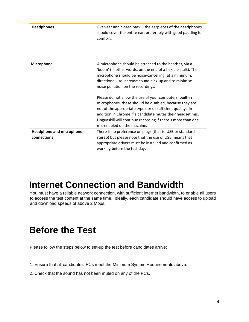| <b>Headphones</b>                              | Over-ear and closed back – the earpieces of the headphones<br>should cover the entire ear, preferably with good padding for<br>comfort.                                                                                                                                                                                                                                                                                                                                                                                                                                                                                        |
|------------------------------------------------|--------------------------------------------------------------------------------------------------------------------------------------------------------------------------------------------------------------------------------------------------------------------------------------------------------------------------------------------------------------------------------------------------------------------------------------------------------------------------------------------------------------------------------------------------------------------------------------------------------------------------------|
| Microphone                                     | A microphone should be attached to the headset, via a<br>'boom' (in other words, on the end of a flexible stalk). The<br>microphone should be noise-cancelling (at a minimum,<br>directional), to increase sound pick-up and to minimise<br>noise pollution on the recordings.<br>Please do not allow the use of your computers' built-in<br>microphones, these should be disabled, because they are<br>not of the appropriate type nor of sufficient quality. In<br>addition in Chrome if a candidate mutes their headset mic,<br>Linguaskill will continue recording if there's more than one<br>mic enabled on the machine. |
| <b>Headphone and microphone</b><br>connections | There is no preference on plugs (that is, USB or standard<br>stereo) but please note that the use of USB means that<br>appropriate drivers must be installed and confirmed as<br>working before the test day.                                                                                                                                                                                                                                                                                                                                                                                                                  |

### <span id="page-3-0"></span>**Internet Connection and Bandwidth**

You must have a reliable network connection, with sufficient internet bandwidth, to enable all users to access the test content at the same time. Ideally, each candidate should have access to upload and download speeds of above 2 Mbps.

## <span id="page-3-1"></span>**Before the Test**

Please follow the steps below to set-up the test before candidates arrive:

- 1. Ensure that all candidates' PCs meet the Minimum System Requirements above.
- 2. Check that the sound has not been muted on any of the PCs.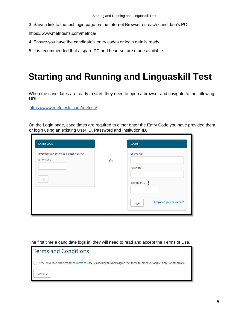3. Save a link to the test login page on the Internet Browser on each candidate's PC:

https://www.metritests.com/metrica/

- 4. Ensure you have the candidate's entry codes or login details ready.
- 5. It is recommended that a spare PC and head-set are made available.

# <span id="page-4-0"></span>**Starting and Running and Linguaskill Test**

When the candidates are ready to start, they need to open a browser and navigate to the following URL:

https://www.metritests.com/metrica/

On the Login page, candidates are required to either enter the Entry Code you have provided them, or login using an existing User ID, Password and Institution ID.

| <b>ENTRY CODE</b>                                        |    | <b>LOGIN</b>                       |
|----------------------------------------------------------|----|------------------------------------|
| If you have an entry code, enter it below.<br>Entry Code |    | Username*                          |
|                                                          | Or | Password*                          |
| OK                                                       |    | Institution ID (?)                 |
|                                                          |    | Forgotten your password?<br>Log in |

The first time a candidate logs in, they will need to read and accept the Terms of Use.

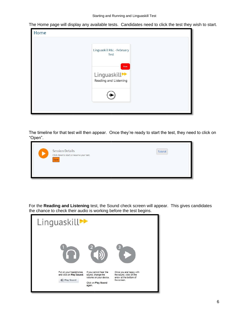The Home page will display any available tests. Candidates need to click the test they wish to start.



The timeline for that test will then appear. Once they're ready to start the test, they need to click on "Open".



For the **Reading and Listening** test, the Sound check screen will appear. This gives candidates the chance to check their audio is working before the test begins.

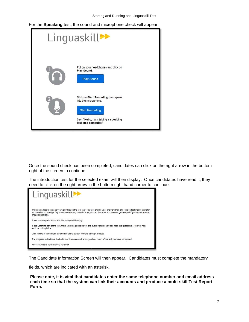Starting and Running and Linguaskill Test

For the **Speaking** test, the sound and microphone check will appear.

| Linguaskill <sup>→</sup> |                                                                                                                                                      |  |
|--------------------------|------------------------------------------------------------------------------------------------------------------------------------------------------|--|
|                          | Put on your headphones and click on<br>Play Sound.<br><b>Play Sound</b>                                                                              |  |
|                          | Click on Start Recording then speak<br>into the microphone.<br><b>Start Recording</b><br>Say: "Hello, I am taking a speaking<br>test on a computer." |  |

Once the sound check has been completed, candidates can click on the right arrow in the bottom right of the screen to continue.

The introduction test for the selected exam will then display. Once candidates have read it, they need to click on the right arrow in the bottom right hand corner to continue.



The Candidate Information Screen will then appear. Candidates must complete the mandatory

fields, which are indicated with an asterisk.

**Please note, it is vital that candidates enter the same telephone number and email address each time so that the system can link their accounts and produce a multi-skill Test Report Form.**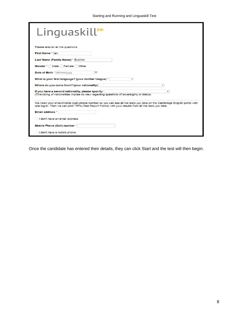| $L$ inguaskill $\blacktriangleright$                                                                                                                                                                                              |                |
|-----------------------------------------------------------------------------------------------------------------------------------------------------------------------------------------------------------------------------------|----------------|
| Please answer all the questions.                                                                                                                                                                                                  |                |
| First Name * lan                                                                                                                                                                                                                  |                |
| Last Name (Family Name) * Butcher                                                                                                                                                                                                 |                |
| Gender * Male Female Other                                                                                                                                                                                                        |                |
| Date of Birth * dd/mm/vvvv<br>圃                                                                                                                                                                                                   |                |
| What is your first language? (your mother tongue) *<br>۰                                                                                                                                                                          |                |
| Where do you come from? (your nationality)                                                                                                                                                                                        | ۰,             |
| If you have a second nationality, please specify:<br>(This listing of nationalities implies no view regarding questions of sovereignty or status)                                                                                 | $\blacksquare$ |
| We need your email/mobile (cell) phone number so you can see all the tests you take on the Cambridge English portal with<br>one log-in. Then we can print TRFs (Test Report Forms) with your results from all the tests you take. |                |
| <b>Email address</b> *                                                                                                                                                                                                            |                |
| I don't have an email address.                                                                                                                                                                                                    |                |
| Mobile Phone (Cell) number *                                                                                                                                                                                                      |                |
| I don't have a mobile phone.                                                                                                                                                                                                      |                |

Once the candidate has entered their details, they can click Start and the test will then begin.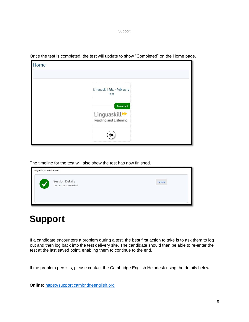Support



<span id="page-8-0"></span>Once the test is completed, the test will update to show "Completed" on the Home page.

The timeline for the test will also show the test has now finished.

| Linguaskill R&L - February Test |                                                       |          |
|---------------------------------|-------------------------------------------------------|----------|
|                                 | <b>Session Details</b><br>This test has now finished. | Tutorial |
|                                 |                                                       |          |

# **Support**

If a candidate encounters a problem during a test, the best first action to take is to ask them to log out and then log back into the test delivery site. The candidate should then be able to re-enter the test at the last saved point, enabling them to continue to the end.

If the problem persists, please contact the Cambridge English Helpdesk using the details below:

**Online:** https://support.cambridgeenglish.org